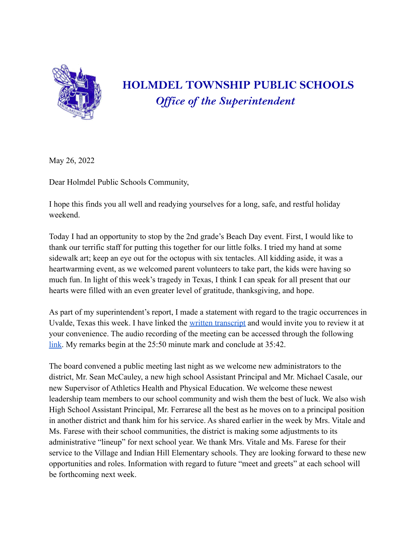

## **HOLMDEL TOWNSHIP PUBLIC SCHOOLS** *Of ice of the Superintendent*

May 26, 2022

Dear Holmdel Public Schools Community,

I hope this finds you all well and readying yourselves for a long, safe, and restful holiday weekend.

Today I had an opportunity to stop by the 2nd grade's Beach Day event. First, I would like to thank our terrific staff for putting this together for our little folks. I tried my hand at some sidewalk art; keep an eye out for the octopus with six tentacles. All kidding aside, it was a heartwarming event, as we welcomed parent volunteers to take part, the kids were having so much fun. In light of this week's tragedy in Texas, I think I can speak for all present that our hearts were filled with an even greater level of gratitude, thanksgiving, and hope.

As part of my superintendent's report, I made a statement with regard to the tragic occurrences in Uvalde, Texas this week. I have linked the written [transcript](https://docs.google.com/document/d/10CN0_2xLuEJim6hrW91BkrXYb8UuEiqf4dKVuyjMfBg/edit?usp=sharing) and would invite you to review it at your convenience. The audio recording of the meeting can be accessed through the following [link.](https://resources.finalsite.net/videos/v1653571536/holmdelk12njus/v5kktjre9ikb9wp381bm/BOE_Audio_5_25_22.mp3) My remarks begin at the 25:50 minute mark and conclude at 35:42.

The board convened a public meeting last night as we welcome new administrators to the district, Mr. Sean McCauley, a new high school Assistant Principal and Mr. Michael Casale, our new Supervisor of Athletics Health and Physical Education. We welcome these newest leadership team members to our school community and wish them the best of luck. We also wish High School Assistant Principal, Mr. Ferrarese all the best as he moves on to a principal position in another district and thank him for his service. As shared earlier in the week by Mrs. Vitale and Ms. Farese with their school communities, the district is making some adjustments to its administrative "lineup" for next school year. We thank Mrs. Vitale and Ms. Farese for their service to the Village and Indian Hill Elementary schools. They are looking forward to these new opportunities and roles. Information with regard to future "meet and greets" at each school will be forthcoming next week.